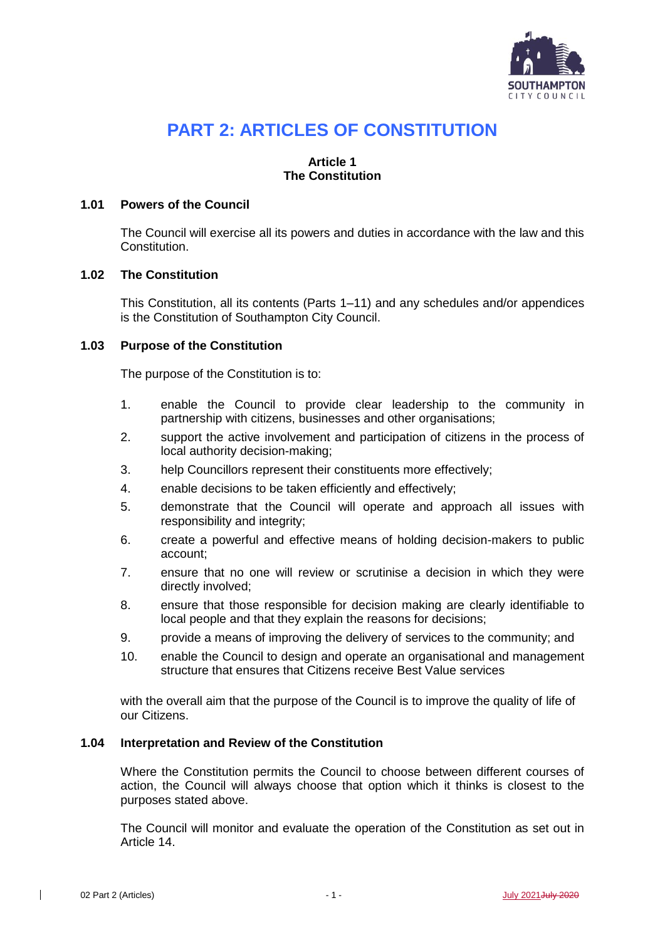

# **PART 2: ARTICLES OF CONSTITUTION**

# **Article 1 The Constitution**

# <span id="page-0-0"></span>**1.01 Powers of the Council**

The Council will exercise all its powers and duties in accordance with the law and this Constitution.

# **1.02 The Constitution**

This Constitution, all its contents (Parts 1–11) and any schedules and/or appendices is the Constitution of Southampton City Council.

# **1.03 Purpose of the Constitution**

The purpose of the Constitution is to:

- 1. enable the Council to provide clear leadership to the community in partnership with citizens, businesses and other organisations;
- 2. support the active involvement and participation of citizens in the process of local authority decision-making;
- 3. help Councillors represent their constituents more effectively;
- 4. enable decisions to be taken efficiently and effectively;
- 5. demonstrate that the Council will operate and approach all issues with responsibility and integrity;
- 6. create a powerful and effective means of holding decision-makers to public account;
- 7. ensure that no one will review or scrutinise a decision in which they were directly involved;
- 8. ensure that those responsible for decision making are clearly identifiable to local people and that they explain the reasons for decisions;
- 9. provide a means of improving the delivery of services to the community; and
- 10. enable the Council to design and operate an organisational and management structure that ensures that Citizens receive Best Value services

with the overall aim that the purpose of the Council is to improve the quality of life of our Citizens.

### **1.04 Interpretation and Review of the Constitution**

Where the Constitution permits the Council to choose between different courses of action, the Council will always choose that option which it thinks is closest to the purposes stated above.

The Council will monitor and evaluate the operation of the Constitution as set out in Article 14.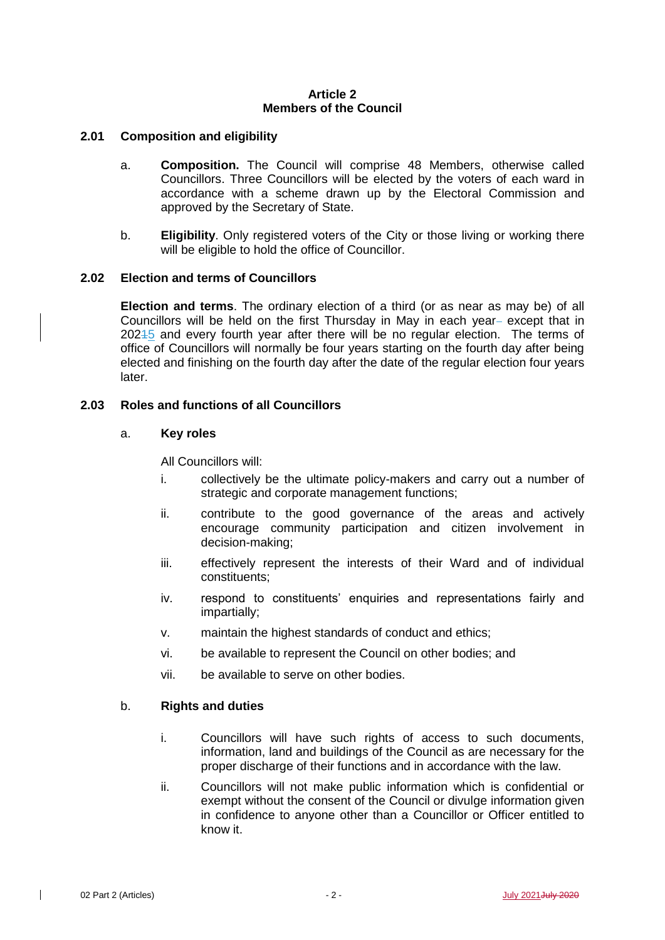# **Article 2 Members of the Council**

# **2.01 Composition and eligibility**

- a. **Composition.** The Council will comprise 48 Members, otherwise called Councillors. Three Councillors will be elected by the voters of each ward in accordance with a scheme drawn up by the Electoral Commission and approved by the Secretary of State.
- b. **Eligibility**. Only registered voters of the City or those living or working there will be eligible to hold the office of Councillor.

# **2.02 Election and terms of Councillors**

**Election and terms**. The ordinary election of a third (or as near as may be) of all Councillors will be held on the first Thursday in May in each year- except that in 20245 and every fourth year after there will be no regular election. The terms of office of Councillors will normally be four years starting on the fourth day after being elected and finishing on the fourth day after the date of the regular election four years later.

# **2.03 Roles and functions of all Councillors**

# a. **Key roles**

All Councillors will:

- i. collectively be the ultimate policy-makers and carry out a number of strategic and corporate management functions;
- ii. contribute to the good governance of the areas and actively encourage community participation and citizen involvement in decision-making;
- iii. effectively represent the interests of their Ward and of individual constituents;
- iv. respond to constituents' enquiries and representations fairly and impartially;
- v. maintain the highest standards of conduct and ethics;
- vi. be available to represent the Council on other bodies; and
- vii. be available to serve on other bodies.

### b. **Rights and duties**

- i. Councillors will have such rights of access to such documents, information, land and buildings of the Council as are necessary for the proper discharge of their functions and in accordance with the law.
- ii. Councillors will not make public information which is confidential or exempt without the consent of the Council or divulge information given in confidence to anyone other than a Councillor or Officer entitled to know it.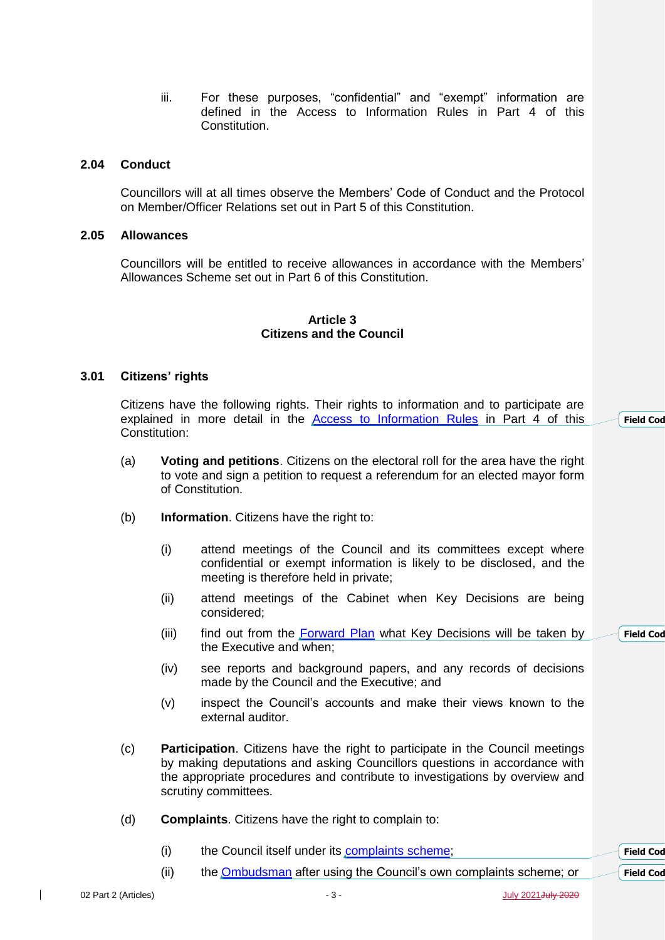iii. For these purposes, "confidential" and "exempt" information are defined in the Access to Information Rules in Part 4 of this Constitution.

# **2.04 Conduct**

Councillors will at all times observe the Members' Code of Conduct and the Protocol on Member/Officer Relations set out in Part 5 of this Constitution.

### **2.05 Allowances**

Councillors will be entitled to receive allowances in accordance with the Members' Allowances Scheme set out in Part 6 of this Constitution.

#### **Article 3 Citizens and the Council**

#### **3.01 Citizens' rights**

Citizens have the following rights. Their rights to information and to participate are explained in more detail in the [Access to Information Rules](http://www.southampton.gov.uk/policies/05-Part-4-Access-to-Info-Procedure-Rules_tcm63-363580.pdf) in Part 4 of this Constitution:

- (a) **Voting and petitions**. Citizens on the electoral roll for the area have the right to vote and sign a petition to request a referendum for an elected mayor form of Constitution.
- (b) **Information**. Citizens have the right to:
	- (i) attend meetings of the Council and its committees except where confidential or exempt information is likely to be disclosed, and the meeting is therefore held in private;
	- (ii) attend meetings of the Cabinet when Key Decisions are being considered;
	- (iii) find out from the [Forward Plan](http://www.southampton.gov.uk/modernGov/mgPlansHome.aspx?bcr=1) what Key Decisions will be taken by the Executive and when;
	- (iv) see reports and background papers, and any records of decisions made by the Council and the Executive; and
	- (v) inspect the Council's accounts and make their views known to the external auditor.
- (c) **Participation**. Citizens have the right to participate in the Council meetings by making deputations and asking Councillors questions in accordance with the appropriate procedures and contribute to investigations by overview and scrutiny committees.
- (d) **Complaints**. Citizens have the right to complain to:
	- (i) the Council itself under its [complaints scheme;](http://www.southampton.gov.uk/council-democracy/have-your-say/comments-complaints/complaints.aspx) **Field** Cod
	- (ii) the **Ombudsman** after using the Council's own complaints scheme; or

 $\overline{\phantom{a}}$ 

**Field** Cod

**Field** Cod

**Field** Cod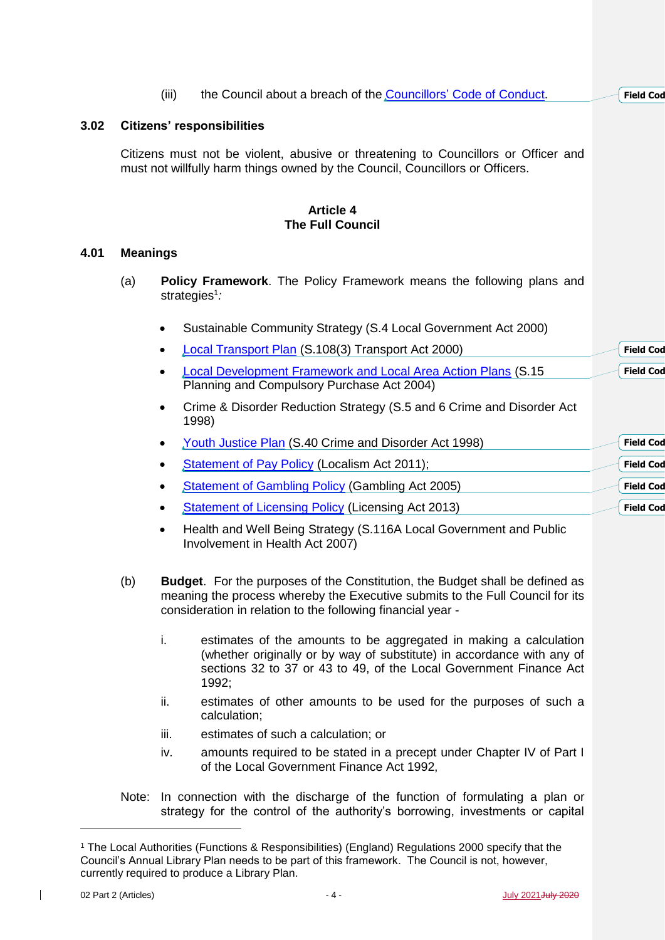|      |                                                                                                                                                                     | (iii)     | the Council about a breach of the Councillors' Code of Conduct.                                                    |  | <b>Field Cod</b> |
|------|---------------------------------------------------------------------------------------------------------------------------------------------------------------------|-----------|--------------------------------------------------------------------------------------------------------------------|--|------------------|
| 3.02 | <b>Citizens' responsibilities</b>                                                                                                                                   |           |                                                                                                                    |  |                  |
|      | Citizens must not be violent, abusive or threatening to Councillors or Officer and<br>must not willfully harm things owned by the Council, Councillors or Officers. |           |                                                                                                                    |  |                  |
|      |                                                                                                                                                                     |           | <b>Article 4</b><br><b>The Full Council</b>                                                                        |  |                  |
| 4.01 | <b>Meanings</b>                                                                                                                                                     |           |                                                                                                                    |  |                  |
|      | (a)<br><b>Policy Framework.</b> The Policy Framework means the following plans and<br>strategies <sup>1</sup> :                                                     |           |                                                                                                                    |  |                  |
|      |                                                                                                                                                                     | $\bullet$ | Sustainable Community Strategy (S.4 Local Government Act 2000)                                                     |  |                  |
|      |                                                                                                                                                                     |           | <b>Local Transport Plan (S.108(3) Transport Act 2000)</b>                                                          |  | <b>Field Cod</b> |
|      |                                                                                                                                                                     |           | <b>Local Development Framework and Local Area Action Plans (S.15</b><br>Planning and Compulsory Purchase Act 2004) |  | <b>Field Cod</b> |
|      |                                                                                                                                                                     |           | Crime & Disorder Reduction Strategy (S.5 and 6 Crime and Disorder Act<br>1998)                                     |  |                  |
|      |                                                                                                                                                                     |           | <b>Youth Justice Plan (S.40 Crime and Disorder Act 1998)</b>                                                       |  | <b>Field Cod</b> |
|      |                                                                                                                                                                     |           | Statement of Pay Policy (Localism Act 2011);                                                                       |  | <b>Field Cod</b> |
|      |                                                                                                                                                                     |           | <b>Statement of Gambling Policy (Gambling Act 2005)</b>                                                            |  | <b>Field Cod</b> |
|      |                                                                                                                                                                     |           | <b>Statement of Licensing Policy (Licensing Act 2013)</b>                                                          |  | <b>Field Cod</b> |

- Health and Well Being Strategy (S.116A Local Government and Public Involvement in Health Act 2007)
- (b) **Budget**. For the purposes of the Constitution, the Budget shall be defined as meaning the process whereby the Executive submits to the Full Council for its consideration in relation to the following financial year
	- i. estimates of the amounts to be aggregated in making a calculation (whether originally or by way of substitute) in accordance with any of sections 32 to 37 or 43 to 49, of the Local Government Finance Act 1992;
	- ii. estimates of other amounts to be used for the purposes of such a calculation;
	- iii. estimates of such a calculation; or
	- iv. amounts required to be stated in a precept under Chapter IV of Part I of the Local Government Finance Act 1992,
- Note: In connection with the discharge of the function of formulating a plan or strategy for the control of the authority's borrowing, investments or capital

-

<sup>1</sup> The Local Authorities (Functions & Responsibilities) (England) Regulations 2000 specify that the Council's Annual Library Plan needs to be part of this framework. The Council is not, however, currently required to produce a Library Plan.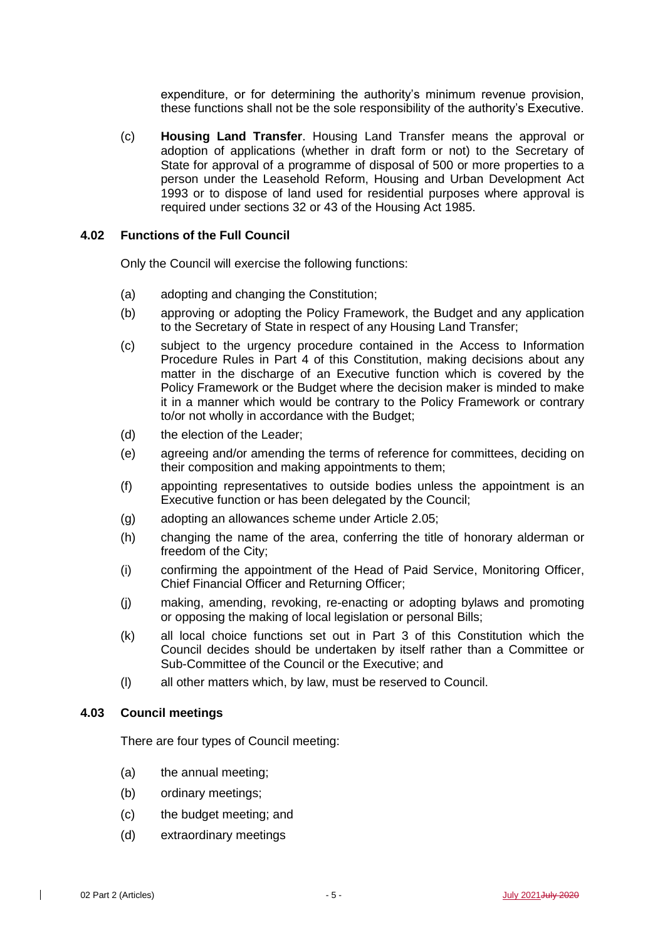expenditure, or for determining the authority's minimum revenue provision, these functions shall not be the sole responsibility of the authority's Executive.

(c) **Housing Land Transfer**. Housing Land Transfer means the approval or adoption of applications (whether in draft form or not) to the Secretary of State for approval of a programme of disposal of 500 or more properties to a person under the Leasehold Reform, Housing and Urban Development Act 1993 or to dispose of land used for residential purposes where approval is required under sections 32 or 43 of the Housing Act 1985.

### <span id="page-4-0"></span>**4.02 Functions of the Full Council**

Only the Council will exercise the following functions:

- (a) adopting and changing the Constitution;
- (b) approving or adopting the Policy Framework, the Budget and any application to the Secretary of State in respect of any Housing Land Transfer;
- (c) subject to the urgency procedure contained in the Access to Information Procedure Rules in Part 4 of this Constitution, making decisions about any matter in the discharge of an Executive function which is covered by the Policy Framework or the Budget where the decision maker is minded to make it in a manner which would be contrary to the Policy Framework or contrary to/or not wholly in accordance with the Budget;
- (d) the election of the Leader;
- (e) agreeing and/or amending the terms of reference for committees, deciding on their composition and making appointments to them;
- (f) appointing representatives to outside bodies unless the appointment is an Executive function or has been delegated by the Council;
- (g) adopting an allowances scheme under Article 2.05;
- (h) changing the name of the area, conferring the title of honorary alderman or freedom of the City;
- (i) confirming the appointment of the Head of Paid Service, Monitoring Officer, Chief Financial Officer and Returning Officer;
- (j) making, amending, revoking, re-enacting or adopting bylaws and promoting or opposing the making of local legislation or personal Bills;
- (k) all local choice functions set out in Part 3 of this Constitution which the Council decides should be undertaken by itself rather than a Committee or Sub-Committee of the Council or the Executive; and
- (l) all other matters which, by law, must be reserved to Council.

### **4.03 Council meetings**

There are four types of Council meeting:

- (a) the annual meeting;
- (b) ordinary meetings;
- (c) the budget meeting; and
- (d) extraordinary meetings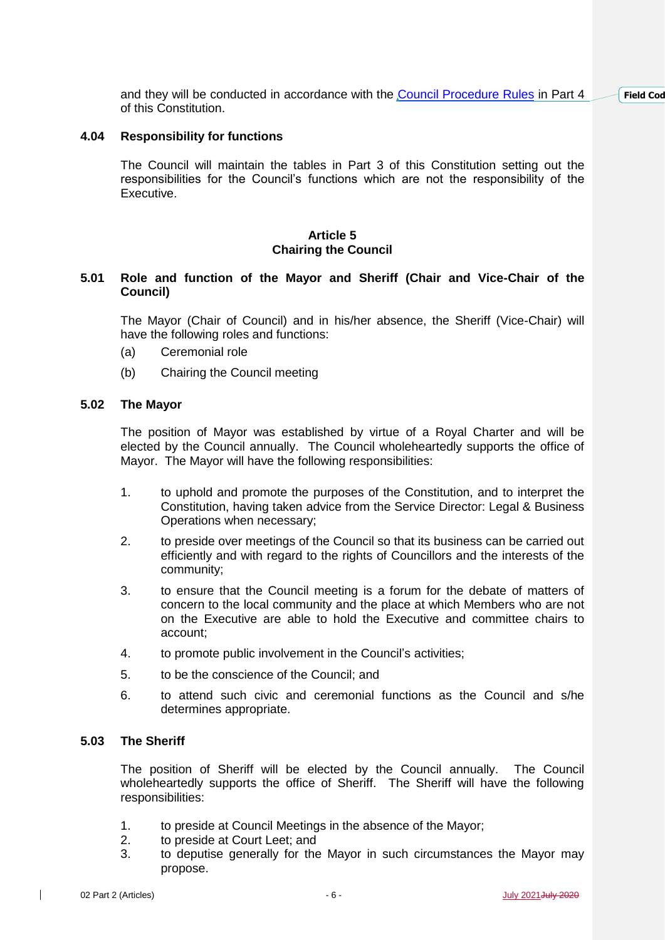and they will be conducted in accordance with the [Council Procedure Rules](http://www.southampton.gov.uk/policies/04-part-4-council-procedure-rules_tcm63-363228.pdf) in Part 4 of this Constitution. **Field** Cod

# **4.04 Responsibility for functions**

The Council will maintain the tables in Part 3 of this Constitution setting out the responsibilities for the Council's functions which are not the responsibility of the Executive.

# **Article 5 Chairing the Council**

# **5.01 Role and function of the Mayor and Sheriff (Chair and Vice-Chair of the Council)**

The Mayor (Chair of Council) and in his/her absence, the Sheriff (Vice-Chair) will have the following roles and functions:

- (a) Ceremonial role
- (b) Chairing the Council meeting

### **5.02 The Mayor**

The position of Mayor was established by virtue of a Royal Charter and will be elected by the Council annually. The Council wholeheartedly supports the office of Mayor. The Mayor will have the following responsibilities:

- 1. to uphold and promote the purposes of the Constitution, and to interpret the Constitution, having taken advice from the Service Director: Legal & Business Operations when necessary;
- 2. to preside over meetings of the Council so that its business can be carried out efficiently and with regard to the rights of Councillors and the interests of the community;
- 3. to ensure that the Council meeting is a forum for the debate of matters of concern to the local community and the place at which Members who are not on the Executive are able to hold the Executive and committee chairs to account;
- 4. to promote public involvement in the Council's activities;
- 5. to be the conscience of the Council; and
- 6. to attend such civic and ceremonial functions as the Council and s/he determines appropriate.

# **5.03 The Sheriff**

The position of Sheriff will be elected by the Council annually. The Council wholeheartedly supports the office of Sheriff. The Sheriff will have the following responsibilities:

- 1. to preside at Council Meetings in the absence of the Mayor;
- 2. to preside at Court Leet; and
- 3. to deputise generally for the Mayor in such circumstances the Mayor may propose.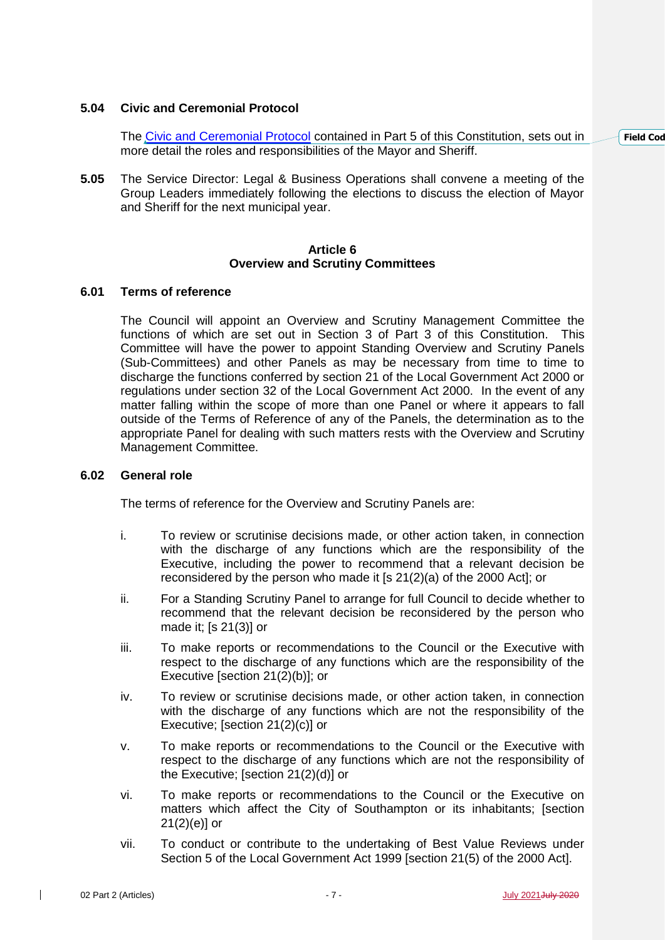# **5.04 Civic and Ceremonial Protocol**

The [Civic and Ceremonial Protocol](http://www.southampton.gov.uk/policies/15-part-5-civic-ceremonial-protocol_tcm63-363590.pdf) contained in Part 5 of this Constitution, sets out in more detail the roles and responsibilities of the Mayor and Sheriff.

**5.05** The Service Director: Legal & Business Operations shall convene a meeting of the Group Leaders immediately following the elections to discuss the election of Mayor and Sheriff for the next municipal year.

### **Article 6 Overview and Scrutiny Committees**

### **6.01 Terms of reference**

The Council will appoint an Overview and Scrutiny Management Committee the functions of which are set out in Section 3 of Part 3 of this Constitution. This Committee will have the power to appoint Standing Overview and Scrutiny Panels (Sub-Committees) and other Panels as may be necessary from time to time to discharge the functions conferred by section 21 of the Local Government Act 2000 or regulations under section 32 of the Local Government Act 2000. In the event of any matter falling within the scope of more than one Panel or where it appears to fall outside of the Terms of Reference of any of the Panels, the determination as to the appropriate Panel for dealing with such matters rests with the Overview and Scrutiny Management Committee.

### **6.02 General role**

The terms of reference for the Overview and Scrutiny Panels are:

- i. To review or scrutinise decisions made, or other action taken, in connection with the discharge of any functions which are the responsibility of the Executive, including the power to recommend that a relevant decision be reconsidered by the person who made it [s 21(2)(a) of the 2000 Act]; or
- ii. For a Standing Scrutiny Panel to arrange for full Council to decide whether to recommend that the relevant decision be reconsidered by the person who made it; [s 21(3)] or
- iii. To make reports or recommendations to the Council or the Executive with respect to the discharge of any functions which are the responsibility of the Executive [section 21(2)(b)]; or
- iv. To review or scrutinise decisions made, or other action taken, in connection with the discharge of any functions which are not the responsibility of the Executive; [section 21(2)(c)] or
- v. To make reports or recommendations to the Council or the Executive with respect to the discharge of any functions which are not the responsibility of the Executive; [section 21(2)(d)] or
- vi. To make reports or recommendations to the Council or the Executive on matters which affect the City of Southampton or its inhabitants; [section  $21(2)(e)$ ] or
- vii. To conduct or contribute to the undertaking of Best Value Reviews under Section 5 of the Local Government Act 1999 [section 21(5) of the 2000 Act].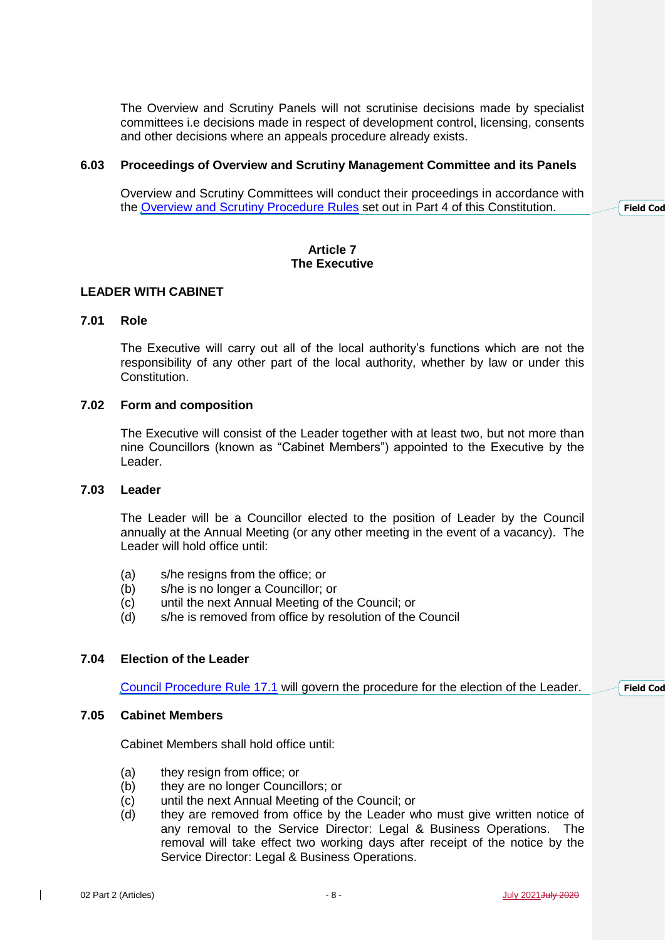The Overview and Scrutiny Panels will not scrutinise decisions made by specialist committees i.e decisions made in respect of development control, licensing, consents and other decisions where an appeals procedure already exists.

#### **6.03 Proceedings of Overview and Scrutiny Management Committee and its Panels**

Overview and Scrutiny Committees will conduct their proceedings in accordance with the [Overview and Scrutiny Procedure Rules](http://www.southampton.gov.uk/policies/08-Part-4-Overview-Scrutiny-Procedure-Rules_tcm63-363583.pdf) set out in Part 4 of this Constitution.

# **Article 7 The Executive**

### **LEADER WITH CABINET**

### **7.01 Role**

The Executive will carry out all of the local authority's functions which are not the responsibility of any other part of the local authority, whether by law or under this Constitution.

### **7.02 Form and composition**

The Executive will consist of the Leader together with at least two, but not more than nine Councillors (known as "Cabinet Members") appointed to the Executive by the Leader.

### **7.03 Leader**

The Leader will be a Councillor elected to the position of Leader by the Council annually at the Annual Meeting (or any other meeting in the event of a vacancy). The Leader will hold office until:

- (a) s/he resigns from the office; or
- (b) s/he is no longer a Councillor; or
- (c) until the next Annual Meeting of the Council; or
- (d) s/he is removed from office by resolution of the Council

# **7.04 Election of the Leader**

[Council Procedure Rule 17.1](http://www.southampton.gov.uk/policies/04-part-4-council-procedure-rules_tcm63-363228.pdf) will govern the procedure for the election of the Leader.

### **7.05 Cabinet Members**

Cabinet Members shall hold office until:

- (a) they resign from office; or
- (b) they are no longer Councillors; or
- (c) until the next Annual Meeting of the Council; or
- (d) they are removed from office by the Leader who must give written notice of any removal to the Service Director: Legal & Business Operations. The removal will take effect two working days after receipt of the notice by the Service Director: Legal & Business Operations.

 $\mathbf{I}$ 

**Field** Cod

**Field** Cod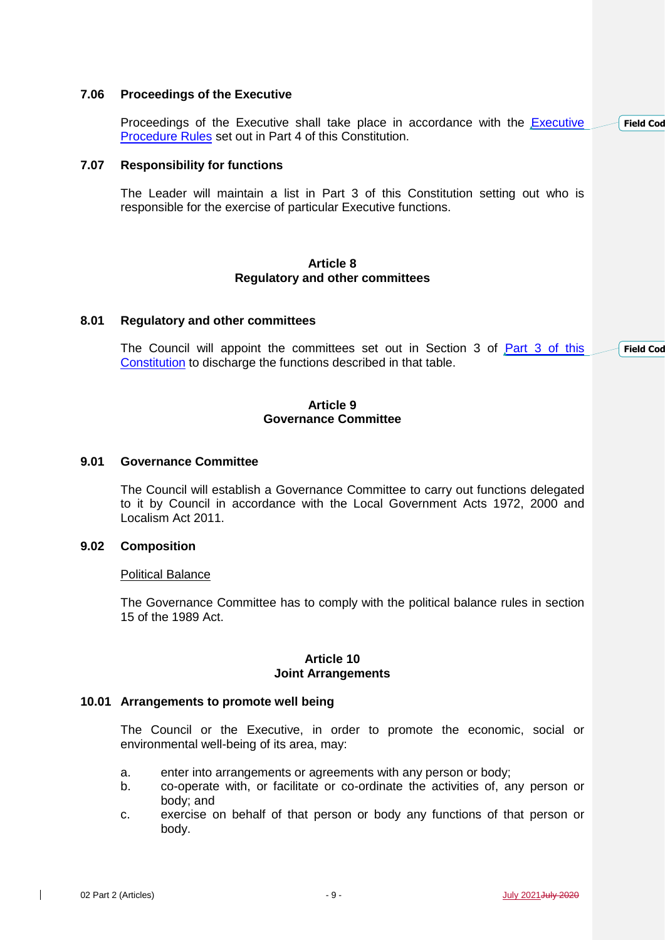### **7.06 Proceedings of the Executive**

Proceedings of the [Executive](http://www.southampton.gov.uk/policies/07-Part-4-Executive-Procedure-Rules_tcm63-363582.pdf) shall take place in accordance with the **Executive** [Procedure Rules](http://www.southampton.gov.uk/policies/07-Part-4-Executive-Procedure-Rules_tcm63-363582.pdf) set out in Part 4 of this Constitution. **Field** Cod

### **7.07 Responsibility for functions**

The Leader will maintain a list in Part 3 of this Constitution setting out who is responsible for the exercise of particular Executive functions.

### **Article 8 Regulatory and other committees**

#### **8.01 Regulatory and other committees**

The Council will appoint the committees set out in Section 3 of [Part 3 of this](http://www.southampton.gov.uk/policies/03-part-3-responsibility-for-functions_tcm63-363227.pdf)  [Constitution](http://www.southampton.gov.uk/policies/03-part-3-responsibility-for-functions_tcm63-363227.pdf) to discharge the functions described in that table. **Field** Cod

### **Article 9 Governance Committee**

# **9.01 Governance Committee**

The Council will establish a Governance Committee to carry out functions delegated to it by Council in accordance with the Local Government Acts 1972, 2000 and Localism Act 2011.

# **9.02 Composition**

#### Political Balance

The Governance Committee has to comply with the political balance rules in section 15 of the 1989 Act.

### **Article 10 Joint Arrangements**

#### **10.01 Arrangements to promote well being**

The Council or the Executive, in order to promote the economic, social or environmental well-being of its area, may:

- a. enter into arrangements or agreements with any person or body;
- b. co-operate with, or facilitate or co-ordinate the activities of, any person or body; and
- c. exercise on behalf of that person or body any functions of that person or body.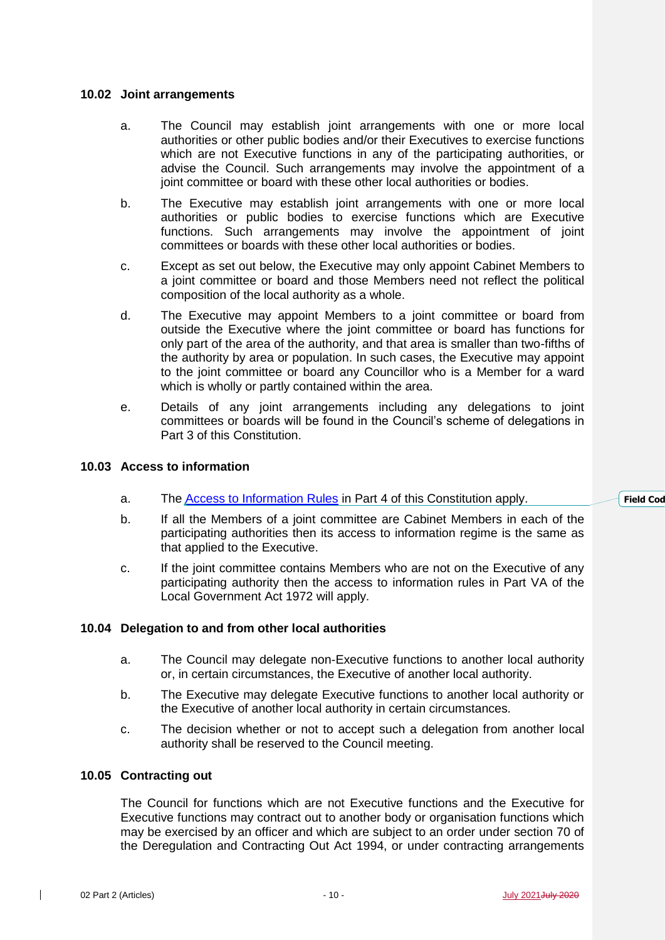# **10.02 Joint arrangements**

- a. The Council may establish joint arrangements with one or more local authorities or other public bodies and/or their Executives to exercise functions which are not Executive functions in any of the participating authorities, or advise the Council. Such arrangements may involve the appointment of a joint committee or board with these other local authorities or bodies.
- b. The Executive may establish joint arrangements with one or more local authorities or public bodies to exercise functions which are Executive functions. Such arrangements may involve the appointment of joint committees or boards with these other local authorities or bodies.
- c. Except as set out below, the Executive may only appoint Cabinet Members to a joint committee or board and those Members need not reflect the political composition of the local authority as a whole.
- d. The Executive may appoint Members to a joint committee or board from outside the Executive where the joint committee or board has functions for only part of the area of the authority, and that area is smaller than two-fifths of the authority by area or population. In such cases, the Executive may appoint to the joint committee or board any Councillor who is a Member for a ward which is wholly or partly contained within the area.
- e. Details of any joint arrangements including any delegations to joint committees or boards will be found in the Council's scheme of delegations in Part 3 of this Constitution.

# **10.03 Access to information**

- a. The [Access to Information Rules](http://www.southampton.gov.uk/policies/05-Part-4-Access-to-Info-Procedure-Rules_tcm63-363580.pdf) in Part 4 of this Constitution apply.
- b. If all the Members of a joint committee are Cabinet Members in each of the participating authorities then its access to information regime is the same as that applied to the Executive.
- c. If the joint committee contains Members who are not on the Executive of any participating authority then the access to information rules in Part VA of the Local Government Act 1972 will apply.

# **10.04 Delegation to and from other local authorities**

- a. The Council may delegate non-Executive functions to another local authority or, in certain circumstances, the Executive of another local authority.
- b. The Executive may delegate Executive functions to another local authority or the Executive of another local authority in certain circumstances.
- c. The decision whether or not to accept such a delegation from another local authority shall be reserved to the Council meeting.

# **10.05 Contracting out**

The Council for functions which are not Executive functions and the Executive for Executive functions may contract out to another body or organisation functions which may be exercised by an officer and which are subject to an order under section 70 of the Deregulation and Contracting Out Act 1994, or under contracting arrangements **Field** Cod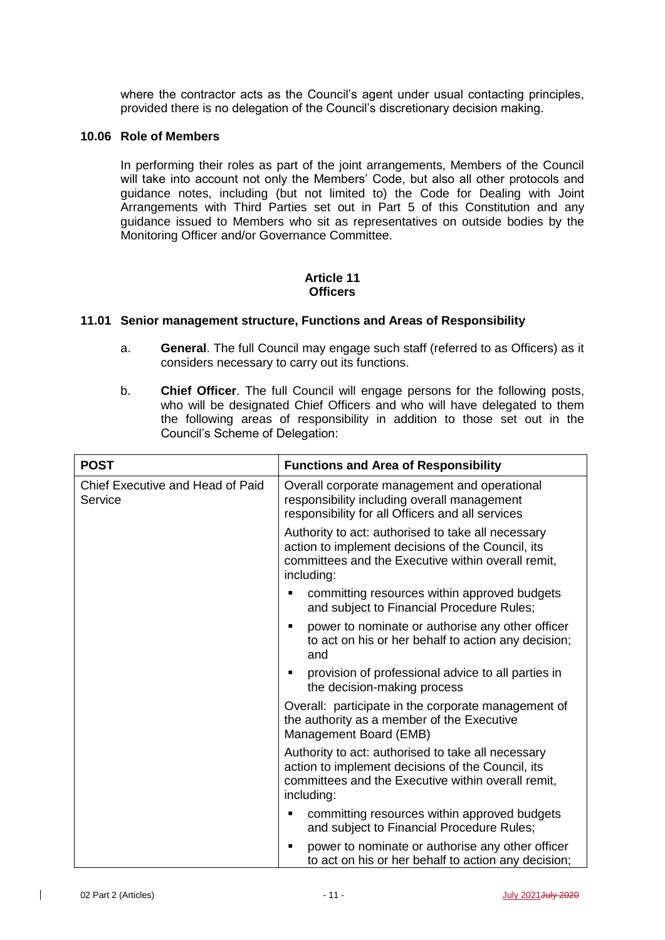where the contractor acts as the Council's agent under usual contacting principles, provided there is no delegation of the Council's discretionary decision making.

# **10.06 Role of Members**

In performing their roles as part of the joint arrangements, Members of the Council will take into account not only the Members' Code, but also all other protocols and guidance notes, including (but not limited to) the Code for Dealing with Joint Arrangements with Third Parties set out in Part 5 of this Constitution and any guidance issued to Members who sit as representatives on outside bodies by the Monitoring Officer and/or Governance Committee.

# **Article 11 Officers**

### **11.01 Senior management structure, Functions and Areas of Responsibility**

- a. **General**. The full Council may engage such staff (referred to as Officers) as it considers necessary to carry out its functions.
- b. **Chief Officer**. The full Council will engage persons for the following posts, who will be designated Chief Officers and who will have delegated to them the following areas of responsibility in addition to those set out in the Council's Scheme of Delegation:

| <b>POST</b>                                 | <b>Functions and Area of Responsibility</b>                                                                                                                                 |  |  |
|---------------------------------------------|-----------------------------------------------------------------------------------------------------------------------------------------------------------------------------|--|--|
| Chief Executive and Head of Paid<br>Service | Overall corporate management and operational<br>responsibility including overall management<br>responsibility for all Officers and all services                             |  |  |
|                                             | Authority to act: authorised to take all necessary<br>action to implement decisions of the Council, its<br>committees and the Executive within overall remit,<br>including: |  |  |
|                                             | committing resources within approved budgets<br>and subject to Financial Procedure Rules;                                                                                   |  |  |
|                                             | power to nominate or authorise any other officer<br>$\blacksquare$<br>to act on his or her behalf to action any decision;<br>and                                            |  |  |
|                                             | provision of professional advice to all parties in<br>٠<br>the decision-making process                                                                                      |  |  |
|                                             | Overall: participate in the corporate management of<br>the authority as a member of the Executive<br>Management Board (EMB)                                                 |  |  |
|                                             | Authority to act: authorised to take all necessary<br>action to implement decisions of the Council, its<br>committees and the Executive within overall remit,<br>including: |  |  |
|                                             | committing resources within approved budgets<br>п<br>and subject to Financial Procedure Rules;                                                                              |  |  |
|                                             | power to nominate or authorise any other officer<br>Е<br>to act on his or her behalf to action any decision;                                                                |  |  |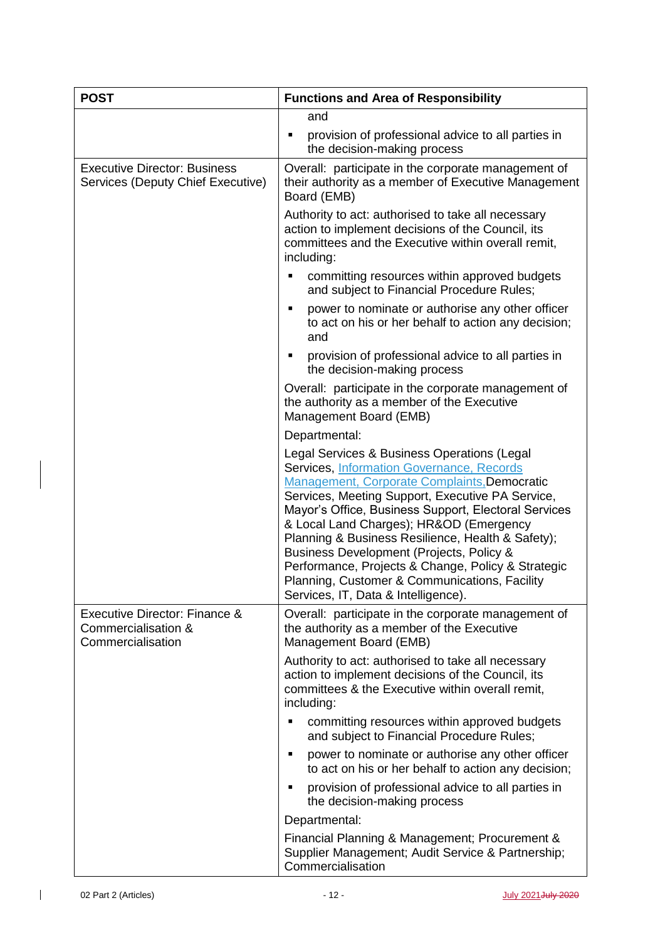| <b>POST</b>                                                               | <b>Functions and Area of Responsibility</b>                                                                                                                                                                                                                                                                                                                                                                                                                                                                                                           |  |  |
|---------------------------------------------------------------------------|-------------------------------------------------------------------------------------------------------------------------------------------------------------------------------------------------------------------------------------------------------------------------------------------------------------------------------------------------------------------------------------------------------------------------------------------------------------------------------------------------------------------------------------------------------|--|--|
|                                                                           | and                                                                                                                                                                                                                                                                                                                                                                                                                                                                                                                                                   |  |  |
|                                                                           | provision of professional advice to all parties in<br>the decision-making process                                                                                                                                                                                                                                                                                                                                                                                                                                                                     |  |  |
| <b>Executive Director: Business</b><br>Services (Deputy Chief Executive)  | Overall: participate in the corporate management of<br>their authority as a member of Executive Management<br>Board (EMB)                                                                                                                                                                                                                                                                                                                                                                                                                             |  |  |
|                                                                           | Authority to act: authorised to take all necessary<br>action to implement decisions of the Council, its<br>committees and the Executive within overall remit,<br>including:                                                                                                                                                                                                                                                                                                                                                                           |  |  |
|                                                                           | committing resources within approved budgets<br>and subject to Financial Procedure Rules;                                                                                                                                                                                                                                                                                                                                                                                                                                                             |  |  |
|                                                                           | power to nominate or authorise any other officer<br>to act on his or her behalf to action any decision;<br>and                                                                                                                                                                                                                                                                                                                                                                                                                                        |  |  |
|                                                                           | provision of professional advice to all parties in<br>the decision-making process                                                                                                                                                                                                                                                                                                                                                                                                                                                                     |  |  |
|                                                                           | Overall: participate in the corporate management of<br>the authority as a member of the Executive<br>Management Board (EMB)                                                                                                                                                                                                                                                                                                                                                                                                                           |  |  |
|                                                                           | Departmental:                                                                                                                                                                                                                                                                                                                                                                                                                                                                                                                                         |  |  |
|                                                                           | Legal Services & Business Operations (Legal<br>Services, Information Governance, Records<br><b>Management, Corporate Complaints, Democratic</b><br>Services, Meeting Support, Executive PA Service,<br>Mayor's Office, Business Support, Electoral Services<br>& Local Land Charges); HR&OD (Emergency<br>Planning & Business Resilience, Health & Safety);<br>Business Development (Projects, Policy &<br>Performance, Projects & Change, Policy & Strategic<br>Planning, Customer & Communications, Facility<br>Services, IT, Data & Intelligence). |  |  |
| Executive Director: Finance &<br>Commercialisation &<br>Commercialisation | Overall: participate in the corporate management of<br>the authority as a member of the Executive<br>Management Board (EMB)                                                                                                                                                                                                                                                                                                                                                                                                                           |  |  |
|                                                                           | Authority to act: authorised to take all necessary<br>action to implement decisions of the Council, its<br>committees & the Executive within overall remit,<br>including:                                                                                                                                                                                                                                                                                                                                                                             |  |  |
|                                                                           | committing resources within approved budgets<br>and subject to Financial Procedure Rules;                                                                                                                                                                                                                                                                                                                                                                                                                                                             |  |  |
|                                                                           | power to nominate or authorise any other officer<br>٠<br>to act on his or her behalf to action any decision;                                                                                                                                                                                                                                                                                                                                                                                                                                          |  |  |
|                                                                           | provision of professional advice to all parties in<br>the decision-making process                                                                                                                                                                                                                                                                                                                                                                                                                                                                     |  |  |
|                                                                           | Departmental:                                                                                                                                                                                                                                                                                                                                                                                                                                                                                                                                         |  |  |
|                                                                           | Financial Planning & Management; Procurement &<br>Supplier Management; Audit Service & Partnership;<br>Commercialisation                                                                                                                                                                                                                                                                                                                                                                                                                              |  |  |

 $\begin{array}{c} \hline \end{array}$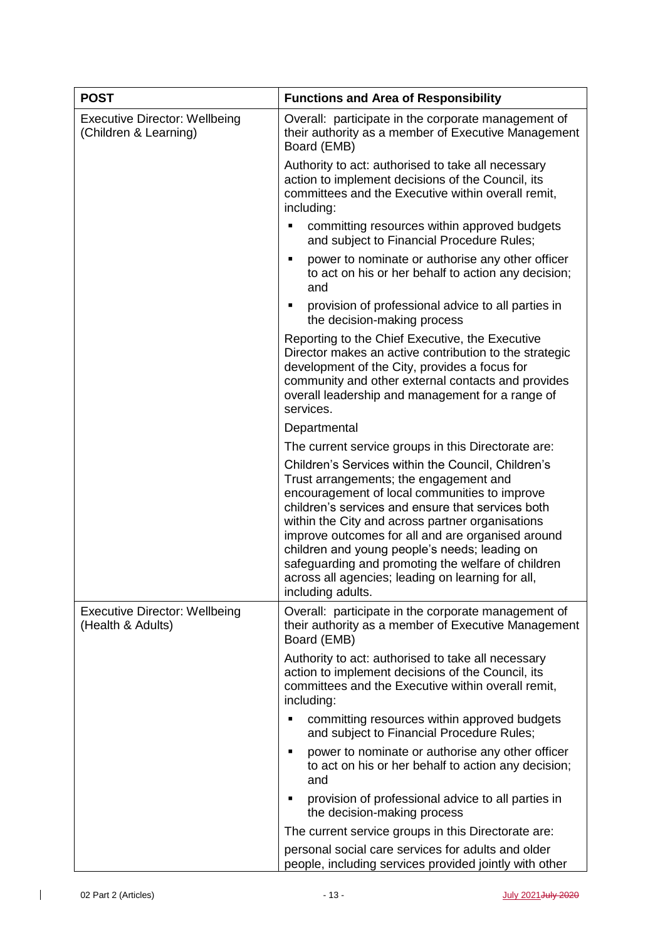| <b>POST</b>                                                   | <b>Functions and Area of Responsibility</b>                                                                                                                                                                                                                                                                                                                                                                                                                                                  |  |  |  |
|---------------------------------------------------------------|----------------------------------------------------------------------------------------------------------------------------------------------------------------------------------------------------------------------------------------------------------------------------------------------------------------------------------------------------------------------------------------------------------------------------------------------------------------------------------------------|--|--|--|
| <b>Executive Director: Wellbeing</b><br>(Children & Learning) | Overall: participate in the corporate management of<br>their authority as a member of Executive Management<br>Board (EMB)                                                                                                                                                                                                                                                                                                                                                                    |  |  |  |
|                                                               | Authority to act: authorised to take all necessary<br>action to implement decisions of the Council, its<br>committees and the Executive within overall remit,<br>including:                                                                                                                                                                                                                                                                                                                  |  |  |  |
|                                                               | committing resources within approved budgets<br>٠<br>and subject to Financial Procedure Rules;                                                                                                                                                                                                                                                                                                                                                                                               |  |  |  |
|                                                               | power to nominate or authorise any other officer<br>п<br>to act on his or her behalf to action any decision;<br>and                                                                                                                                                                                                                                                                                                                                                                          |  |  |  |
|                                                               | provision of professional advice to all parties in<br>٠<br>the decision-making process                                                                                                                                                                                                                                                                                                                                                                                                       |  |  |  |
|                                                               | Reporting to the Chief Executive, the Executive<br>Director makes an active contribution to the strategic<br>development of the City, provides a focus for<br>community and other external contacts and provides<br>overall leadership and management for a range of<br>services.                                                                                                                                                                                                            |  |  |  |
|                                                               | Departmental                                                                                                                                                                                                                                                                                                                                                                                                                                                                                 |  |  |  |
|                                                               | The current service groups in this Directorate are:                                                                                                                                                                                                                                                                                                                                                                                                                                          |  |  |  |
|                                                               | Children's Services within the Council, Children's<br>Trust arrangements; the engagement and<br>encouragement of local communities to improve<br>children's services and ensure that services both<br>within the City and across partner organisations<br>improve outcomes for all and are organised around<br>children and young people's needs; leading on<br>safeguarding and promoting the welfare of children<br>across all agencies; leading on learning for all,<br>including adults. |  |  |  |
| <b>Executive Director: Wellbeing</b><br>(Health & Adults)     | Overall: participate in the corporate management of<br>their authority as a member of Executive Management<br>Board (EMB)                                                                                                                                                                                                                                                                                                                                                                    |  |  |  |
|                                                               | Authority to act: authorised to take all necessary<br>action to implement decisions of the Council, its<br>committees and the Executive within overall remit,<br>including:                                                                                                                                                                                                                                                                                                                  |  |  |  |
|                                                               | committing resources within approved budgets<br>and subject to Financial Procedure Rules;                                                                                                                                                                                                                                                                                                                                                                                                    |  |  |  |
|                                                               | power to nominate or authorise any other officer<br>$\blacksquare$<br>to act on his or her behalf to action any decision;<br>and                                                                                                                                                                                                                                                                                                                                                             |  |  |  |
|                                                               | provision of professional advice to all parties in<br>$\blacksquare$<br>the decision-making process                                                                                                                                                                                                                                                                                                                                                                                          |  |  |  |
|                                                               | The current service groups in this Directorate are:                                                                                                                                                                                                                                                                                                                                                                                                                                          |  |  |  |
|                                                               | personal social care services for adults and older<br>people, including services provided jointly with other                                                                                                                                                                                                                                                                                                                                                                                 |  |  |  |

 $\overline{1}$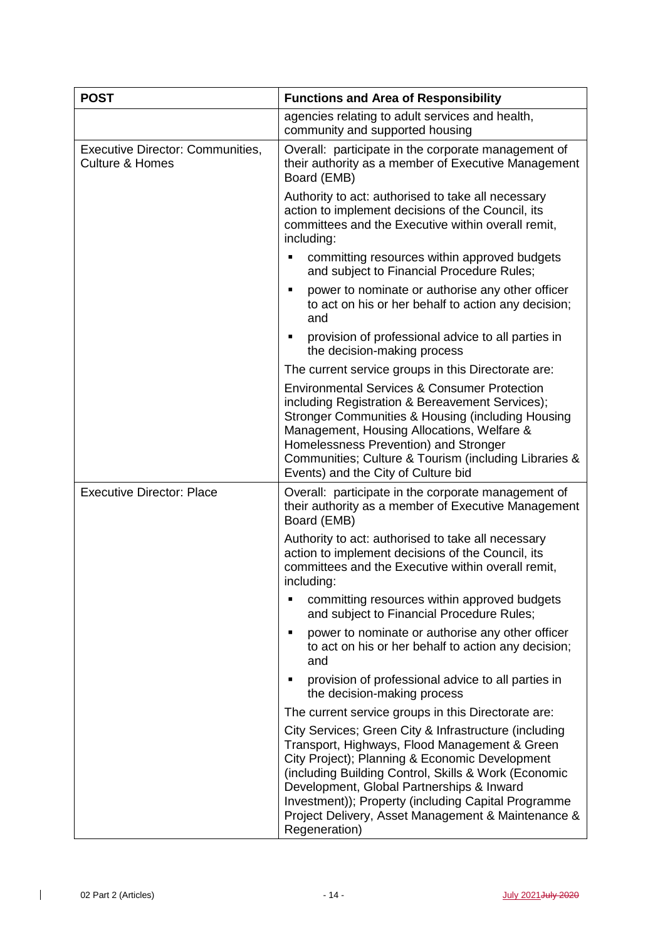| <b>POST</b>                                                           | <b>Functions and Area of Responsibility</b>                                                                                                                                                                                                                                                                                                                                                 |  |  |
|-----------------------------------------------------------------------|---------------------------------------------------------------------------------------------------------------------------------------------------------------------------------------------------------------------------------------------------------------------------------------------------------------------------------------------------------------------------------------------|--|--|
|                                                                       | agencies relating to adult services and health,<br>community and supported housing                                                                                                                                                                                                                                                                                                          |  |  |
| <b>Executive Director: Communities,</b><br><b>Culture &amp; Homes</b> | Overall: participate in the corporate management of<br>their authority as a member of Executive Management<br>Board (EMB)                                                                                                                                                                                                                                                                   |  |  |
|                                                                       | Authority to act: authorised to take all necessary<br>action to implement decisions of the Council, its<br>committees and the Executive within overall remit,<br>including:                                                                                                                                                                                                                 |  |  |
|                                                                       | committing resources within approved budgets<br>٠<br>and subject to Financial Procedure Rules;                                                                                                                                                                                                                                                                                              |  |  |
|                                                                       | power to nominate or authorise any other officer<br>٠<br>to act on his or her behalf to action any decision;<br>and                                                                                                                                                                                                                                                                         |  |  |
|                                                                       | provision of professional advice to all parties in<br>٠<br>the decision-making process                                                                                                                                                                                                                                                                                                      |  |  |
|                                                                       | The current service groups in this Directorate are:                                                                                                                                                                                                                                                                                                                                         |  |  |
|                                                                       | <b>Environmental Services &amp; Consumer Protection</b><br>including Registration & Bereavement Services);<br>Stronger Communities & Housing (including Housing<br>Management, Housing Allocations, Welfare &<br>Homelessness Prevention) and Stronger<br>Communities; Culture & Tourism (including Libraries &<br>Events) and the City of Culture bid                                      |  |  |
| <b>Executive Director: Place</b>                                      | Overall: participate in the corporate management of<br>their authority as a member of Executive Management<br>Board (EMB)                                                                                                                                                                                                                                                                   |  |  |
|                                                                       | Authority to act: authorised to take all necessary<br>action to implement decisions of the Council, its<br>committees and the Executive within overall remit,<br>including:                                                                                                                                                                                                                 |  |  |
|                                                                       | committing resources within approved budgets<br>٠<br>and subject to Financial Procedure Rules;                                                                                                                                                                                                                                                                                              |  |  |
|                                                                       | power to nominate or authorise any other officer<br>٠<br>to act on his or her behalf to action any decision;<br>and                                                                                                                                                                                                                                                                         |  |  |
|                                                                       | provision of professional advice to all parties in<br>٠<br>the decision-making process                                                                                                                                                                                                                                                                                                      |  |  |
|                                                                       | The current service groups in this Directorate are:                                                                                                                                                                                                                                                                                                                                         |  |  |
|                                                                       | City Services; Green City & Infrastructure (including<br>Transport, Highways, Flood Management & Green<br>City Project); Planning & Economic Development<br>(including Building Control, Skills & Work (Economic<br>Development, Global Partnerships & Inward<br>Investment)); Property (including Capital Programme<br>Project Delivery, Asset Management & Maintenance &<br>Regeneration) |  |  |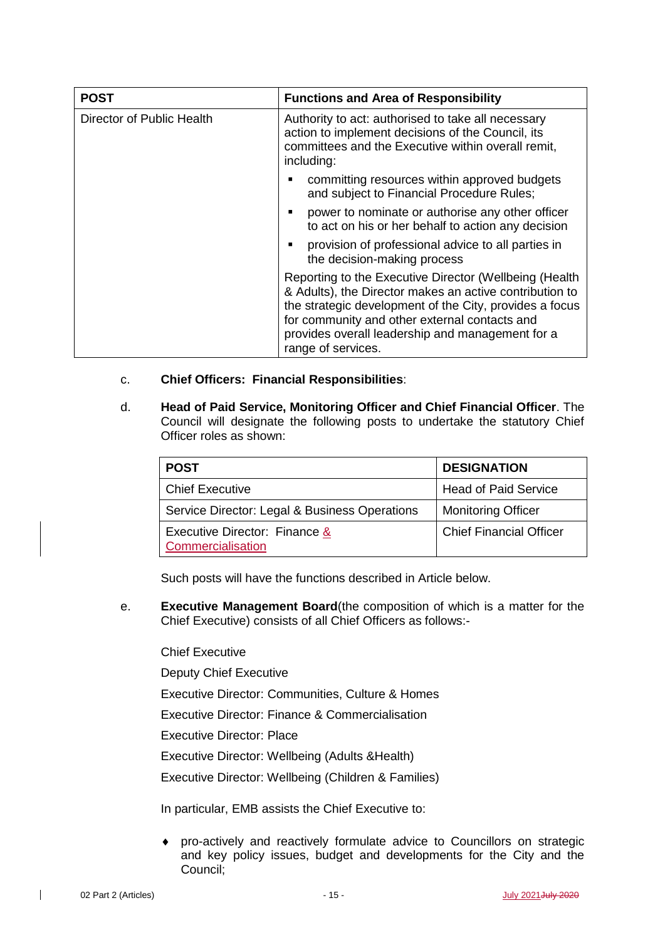| <b>POST</b>               | <b>Functions and Area of Responsibility</b>                                                                                                                                                                                                                                                              |  |  |
|---------------------------|----------------------------------------------------------------------------------------------------------------------------------------------------------------------------------------------------------------------------------------------------------------------------------------------------------|--|--|
| Director of Public Health | Authority to act: authorised to take all necessary<br>action to implement decisions of the Council, its<br>committees and the Executive within overall remit,<br>including:                                                                                                                              |  |  |
|                           | committing resources within approved budgets<br>and subject to Financial Procedure Rules;                                                                                                                                                                                                                |  |  |
|                           | power to nominate or authorise any other officer<br>to act on his or her behalf to action any decision                                                                                                                                                                                                   |  |  |
|                           | provision of professional advice to all parties in<br>the decision-making process                                                                                                                                                                                                                        |  |  |
|                           | Reporting to the Executive Director (Wellbeing (Health)<br>& Adults), the Director makes an active contribution to<br>the strategic development of the City, provides a focus<br>for community and other external contacts and<br>provides overall leadership and management for a<br>range of services. |  |  |

- c. **Chief Officers: Financial Responsibilities**:
- d. **Head of Paid Service, Monitoring Officer and Chief Financial Officer**. The Council will designate the following posts to undertake the statutory Chief Officer roles as shown:

| <b>POST</b>                                        | <b>DESIGNATION</b>             |  |  |
|----------------------------------------------------|--------------------------------|--|--|
| <b>Chief Executive</b>                             | <b>Head of Paid Service</b>    |  |  |
| Service Director: Legal & Business Operations      | <b>Monitoring Officer</b>      |  |  |
| Executive Director: Finance &<br>Commercialisation | <b>Chief Financial Officer</b> |  |  |

Such posts will have the functions described in Article below.

e. **Executive Management Board**(the composition of which is a matter for the Chief Executive) consists of all Chief Officers as follows:-

Chief Executive

Deputy Chief Executive

Executive Director: Communities, Culture & Homes

Executive Director: Finance & Commercialisation

Executive Director: Place

Executive Director: Wellbeing (Adults &Health)

Executive Director: Wellbeing (Children & Families)

In particular, EMB assists the Chief Executive to:

 pro-actively and reactively formulate advice to Councillors on strategic and key policy issues, budget and developments for the City and the Council;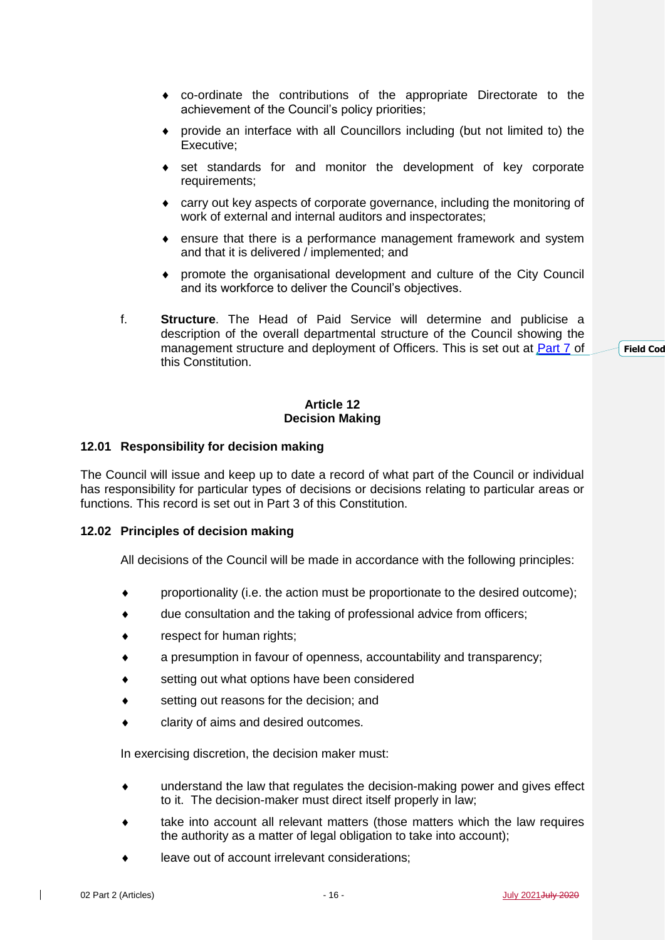- co-ordinate the contributions of the appropriate Directorate to the achievement of the Council's policy priorities;
- provide an interface with all Councillors including (but not limited to) the Executive;
- set standards for and monitor the development of key corporate requirements;
- carry out key aspects of corporate governance, including the monitoring of work of external and internal auditors and inspectorates;
- ensure that there is a performance management framework and system and that it is delivered / implemented; and
- promote the organisational development and culture of the City Council and its workforce to deliver the Council's objectives.
- f. **Structure**. The Head of Paid Service will determine and publicise a description of the overall departmental structure of the Council showing the management structure and deployment of Officers. This is set out at [Part 7](http://www.southampton.gov.uk/policies/20-part-7-management-structure_tcm63-363595.pdf) of this Constitution.

### **Article 12 Decision Making**

### **12.01 Responsibility for decision making**

The Council will issue and keep up to date a record of what part of the Council or individual has responsibility for particular types of decisions or decisions relating to particular areas or functions. This record is set out in Part 3 of this Constitution.

### **12.02 Principles of decision making**

All decisions of the Council will be made in accordance with the following principles:

- proportionality (i.e. the action must be proportionate to the desired outcome);
- due consultation and the taking of professional advice from officers;
- **\*** respect for human rights;
- a presumption in favour of openness, accountability and transparency;
- setting out what options have been considered
- setting out reasons for the decision; and
- clarity of aims and desired outcomes.

In exercising discretion, the decision maker must:

- understand the law that regulates the decision-making power and gives effect to it. The decision-maker must direct itself properly in law;
- take into account all relevant matters (those matters which the law requires the authority as a matter of legal obligation to take into account);
- leave out of account irrelevant considerations;

**Field** Cod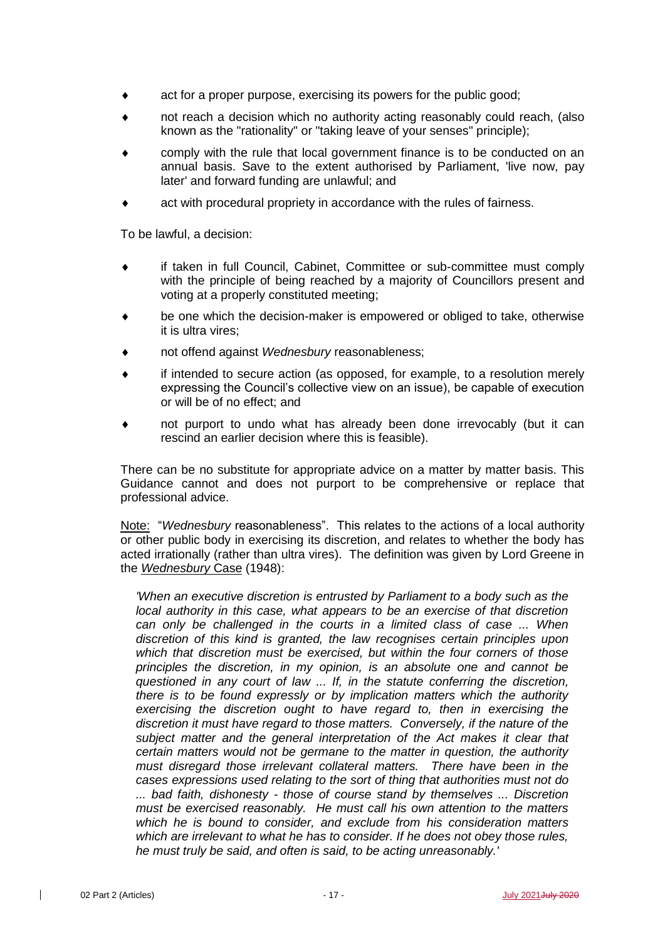- act for a proper purpose, exercising its powers for the public good;
- not reach a decision which no authority acting reasonably could reach, (also known as the "rationality" or "taking leave of your senses" principle);
- comply with the rule that local government finance is to be conducted on an annual basis. Save to the extent authorised by Parliament, 'live now, pay later' and forward funding are unlawful; and
- act with procedural propriety in accordance with the rules of fairness.

To be lawful, a decision:

- if taken in full Council, Cabinet, Committee or sub-committee must comply with the principle of being reached by a majority of Councillors present and voting at a properly constituted meeting;
- be one which the decision-maker is empowered or obliged to take, otherwise it is ultra vires;
- not offend against *Wednesbury* reasonableness;
- if intended to secure action (as opposed, for example, to a resolution merely expressing the Council's collective view on an issue), be capable of execution or will be of no effect; and
- not purport to undo what has already been done irrevocably (but it can rescind an earlier decision where this is feasible).

There can be no substitute for appropriate advice on a matter by matter basis. This Guidance cannot and does not purport to be comprehensive or replace that professional advice.

Note: "*Wednesbury* reasonableness". This relates to the actions of a local authority or other public body in exercising its discretion, and relates to whether the body has acted irrationally (rather than ultra vires). The definition was given by Lord Greene in the *Wednesbury* Case (1948):

*'When an executive discretion is entrusted by Parliament to a body such as the local authority in this case, what appears to be an exercise of that discretion can only be challenged in the courts in a limited class of case ... When discretion of this kind is granted, the law recognises certain principles upon which that discretion must be exercised, but within the four corners of those principles the discretion, in my opinion, is an absolute one and cannot be questioned in any court of law ... If, in the statute conferring the discretion, there is to be found expressly or by implication matters which the authority exercising the discretion ought to have regard to, then in exercising the discretion it must have regard to those matters. Conversely, if the nature of the subject matter and the general interpretation of the Act makes it clear that certain matters would not be germane to the matter in question, the authority must disregard those irrelevant collateral matters. There have been in the cases expressions used relating to the sort of thing that authorities must not do ... bad faith, dishonesty - those of course stand by themselves ... Discretion must be exercised reasonably. He must call his own attention to the matters which he is bound to consider, and exclude from his consideration matters which are irrelevant to what he has to consider. If he does not obey those rules, he must truly be said, and often is said, to be acting unreasonably.'*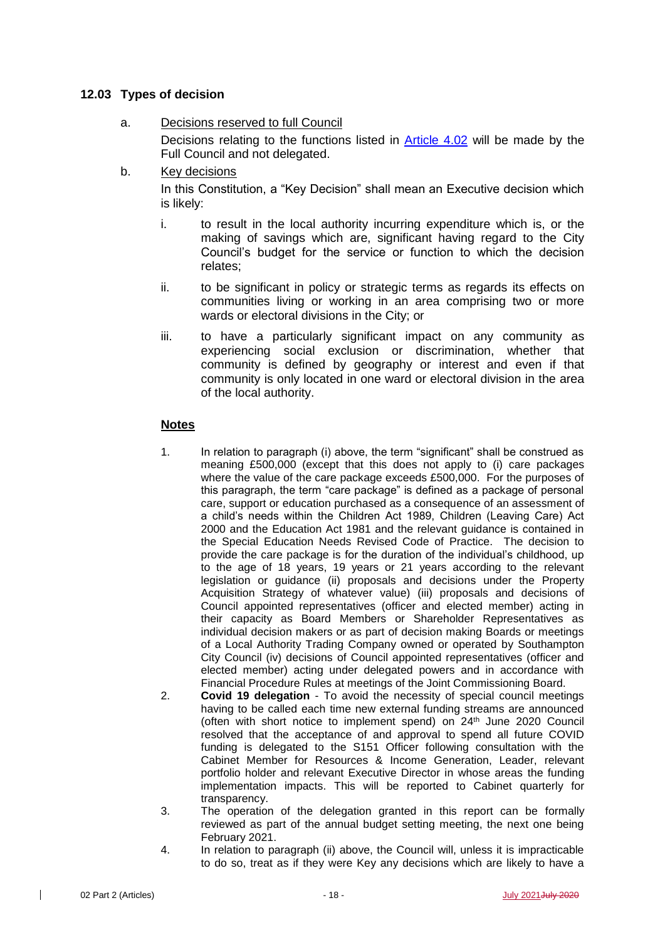# **12.03 Types of decision**

- a. Decisions reserved to full Council Decisions relating to the functions listed in [Article 4.02](#page-4-0) will be made by the Full Council and not delegated.
- b. Key decisions In this Constitution, a "Key Decision" shall mean an Executive decision which
	- i. to result in the local authority incurring expenditure which is, or the making of savings which are, significant having regard to the City Council's budget for the service or function to which the decision relates;
	- ii. to be significant in policy or strategic terms as regards its effects on communities living or working in an area comprising two or more wards or electoral divisions in the City; or
	- iii. to have a particularly significant impact on any community as experiencing social exclusion or discrimination, whether that community is defined by geography or interest and even if that community is only located in one ward or electoral division in the area of the local authority.

# **Notes**

is likely:

- 1. In relation to paragraph (i) above, the term "significant" shall be construed as meaning £500,000 (except that this does not apply to (i) care packages where the value of the care package exceeds £500,000. For the purposes of this paragraph, the term "care package" is defined as a package of personal care, support or education purchased as a consequence of an assessment of a child's needs within the Children Act 1989, Children (Leaving Care) Act 2000 and the Education Act 1981 and the relevant guidance is contained in the Special Education Needs Revised Code of Practice. The decision to provide the care package is for the duration of the individual's childhood, up to the age of 18 years, 19 years or 21 years according to the relevant legislation or guidance (ii) proposals and decisions under the Property Acquisition Strategy of whatever value) (iii) proposals and decisions of Council appointed representatives (officer and elected member) acting in their capacity as Board Members or Shareholder Representatives as individual decision makers or as part of decision making Boards or meetings of a Local Authority Trading Company owned or operated by Southampton City Council (iv) decisions of Council appointed representatives (officer and elected member) acting under delegated powers and in accordance with Financial Procedure Rules at meetings of the Joint Commissioning Board.
- 2. **Covid 19 delegation** To avoid the necessity of special council meetings having to be called each time new external funding streams are announced (often with short notice to implement spend) on 24<sup>th</sup> June 2020 Council resolved that the acceptance of and approval to spend all future COVID funding is delegated to the S151 Officer following consultation with the Cabinet Member for Resources & Income Generation, Leader, relevant portfolio holder and relevant Executive Director in whose areas the funding implementation impacts. This will be reported to Cabinet quarterly for transparency.
- 3. The operation of the delegation granted in this report can be formally reviewed as part of the annual budget setting meeting, the next one being February 2021.
- 4. In relation to paragraph (ii) above, the Council will, unless it is impracticable to do so, treat as if they were Key any decisions which are likely to have a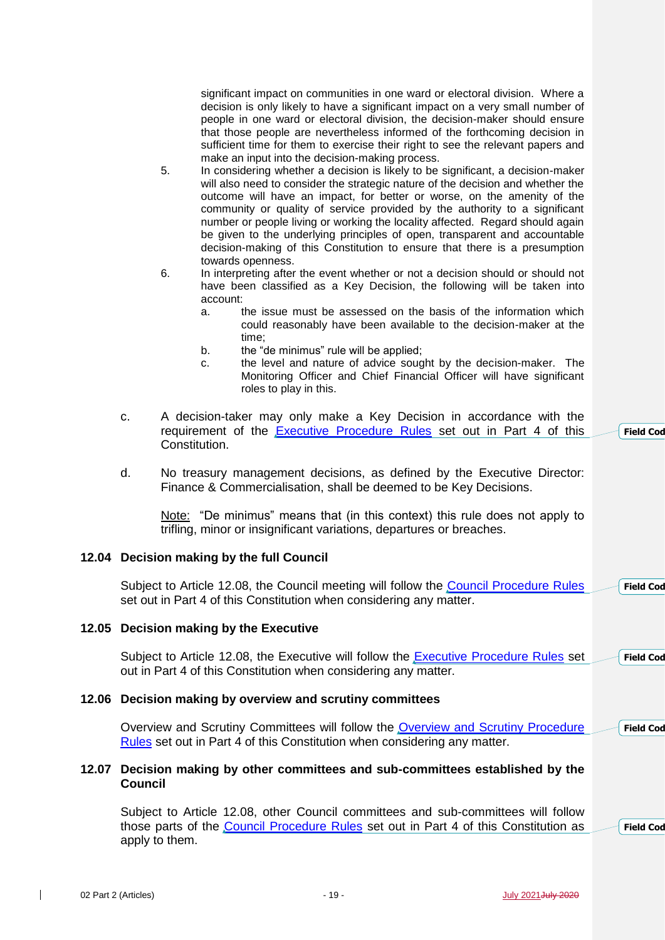significant impact on communities in one ward or electoral division. Where a decision is only likely to have a significant impact on a very small number of people in one ward or electoral division, the decision-maker should ensure that those people are nevertheless informed of the forthcoming decision in sufficient time for them to exercise their right to see the relevant papers and make an input into the decision-making process.

- 5. In considering whether a decision is likely to be significant, a decision-maker will also need to consider the strategic nature of the decision and whether the outcome will have an impact, for better or worse, on the amenity of the community or quality of service provided by the authority to a significant number or people living or working the locality affected. Regard should again be given to the underlying principles of open, transparent and accountable decision-making of this Constitution to ensure that there is a presumption towards openness.
- 6. In interpreting after the event whether or not a decision should or should not have been classified as a Key Decision, the following will be taken into account:
	- a. the issue must be assessed on the basis of the information which could reasonably have been available to the decision-maker at the time;
	- b. the "de minimus" rule will be applied;
	- c. the level and nature of advice sought by the decision-maker. The Monitoring Officer and Chief Financial Officer will have significant roles to play in this.
- c. A decision-taker may only make a Key Decision in accordance with the requirement of the [Executive Procedure Rules](http://www.southampton.gov.uk/policies/07-Part-4-Executive-Procedure-Rules_tcm63-363582.pdf) set out in Part 4 of this Constitution. **Field** Cod
- d. No treasury management decisions, as defined by the Executive Director: Finance & Commercialisation, shall be deemed to be Key Decisions.

Note: "De minimus" means that (in this context) this rule does not apply to trifling, minor or insignificant variations, departures or breaches.

# **12.04 Decision making by the full Council**

Subject to Article 12.08, the Council meeting will follow the [Council Procedure Rules](http://www.southampton.gov.uk/policies/04-part-4-council-procedure-rules_tcm63-363228.pdf) set out in Part 4 of this Constitution when considering any matter. **Field Cod** 

### **12.05 Decision making by the Executive**

Subject to Article 12.08, the Executive will follow the [Executive Procedure Rules](http://www.southampton.gov.uk/policies/07-Part-4-Executive-Procedure-Rules_tcm63-363582.pdf) set out in Part 4 of this Constitution when considering any matter. **Field** Cod

# **12.06 Decision making by overview and scrutiny committees**

Overview and Scrutiny Committees will follow the Overview and Scrutiny Procedure [Rules](http://www.southampton.gov.uk/policies/08-Part-4-Overview-Scrutiny-Procedure-Rules_tcm63-363583.pdf) set out in Part 4 of this Constitution when considering any matter. **Field** Cod

### **12.07 Decision making by other committees and sub-committees established by the Council**

Subject to Article 12.08, other Council committees and sub-committees will follow those parts of the [Council Procedure Rules](http://www.southampton.gov.uk/policies/04-part-4-council-procedure-rules_tcm63-363228.pdf) set out in Part 4 of this Constitution as apply to them.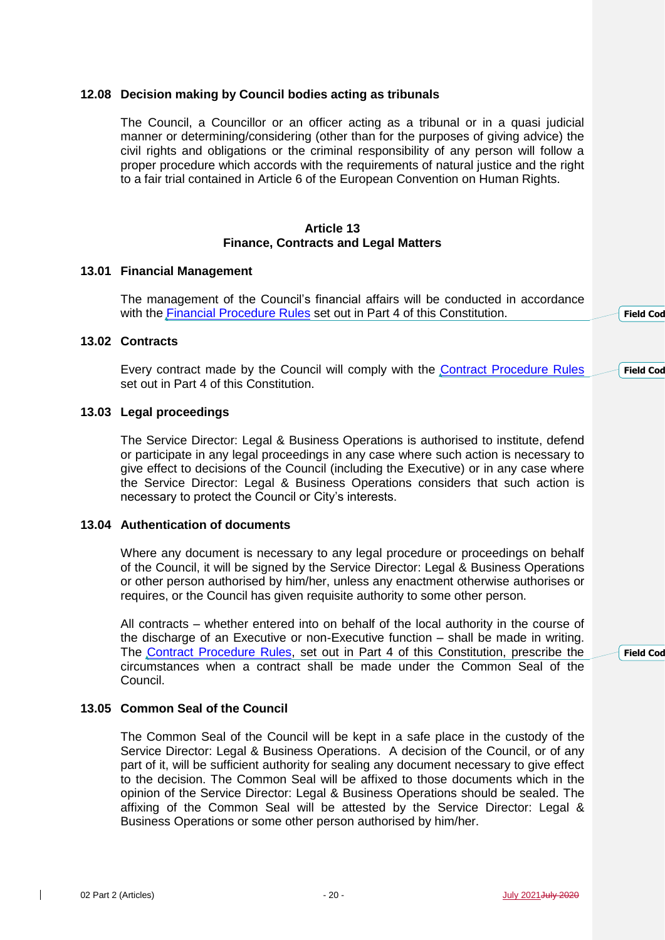# **12.08 Decision making by Council bodies acting as tribunals**

The Council, a Councillor or an officer acting as a tribunal or in a quasi judicial manner or determining/considering (other than for the purposes of giving advice) the civil rights and obligations or the criminal responsibility of any person will follow a proper procedure which accords with the requirements of natural justice and the right to a fair trial contained in Article 6 of the European Convention on Human Rights.

### **Article 13 Finance, Contracts and Legal Matters**

#### **13.01 Financial Management**

The management of the Council's financial affairs will be conducted in accordance with the [Financial Procedure Rules](http://www.southampton.gov.uk/policies/09-Part-4-Financial-Procedure-Rules_tcm63-363584.pdf) set out in Part 4 of this Constitution.

### **13.02 Contracts**

Every contract made by the Council will comply with the [Contract Procedure Rules](http://www.southampton.gov.uk/policies/10-Part-4-Contract-Procedure-Rules_tcm63-363585.pdf) set out in Part 4 of this Constitution. **Field Cod** 

# **13.03 Legal proceedings**

The Service Director: Legal & Business Operations is authorised to institute, defend or participate in any legal proceedings in any case where such action is necessary to give effect to decisions of the Council (including the Executive) or in any case where the Service Director: Legal & Business Operations considers that such action is necessary to protect the Council or City's interests.

#### **13.04 Authentication of documents**

Where any document is necessary to any legal procedure or proceedings on behalf of the Council, it will be signed by the Service Director: Legal & Business Operations or other person authorised by him/her, unless any enactment otherwise authorises or requires, or the Council has given requisite authority to some other person.

All contracts – whether entered into on behalf of the local authority in the course of the discharge of an Executive or non-Executive function – shall be made in writing. The [Contract Procedure Rules,](http://www.southampton.gov.uk/policies/10-Part-4-Contract-Procedure-Rules_tcm63-363585.pdf) set out in Part 4 of this Constitution, prescribe the circumstances when a contract shall be made under the Common Seal of the Council.

# **13.05 Common Seal of the Council**

The Common Seal of the Council will be kept in a safe place in the custody of the Service Director: Legal & Business Operations. A decision of the Council, or of any part of it, will be sufficient authority for sealing any document necessary to give effect to the decision. The Common Seal will be affixed to those documents which in the opinion of the Service Director: Legal & Business Operations should be sealed. The affixing of the Common Seal will be attested by the Service Director: Legal & Business Operations or some other person authorised by him/her.

**Field** Cod

**Field** Cod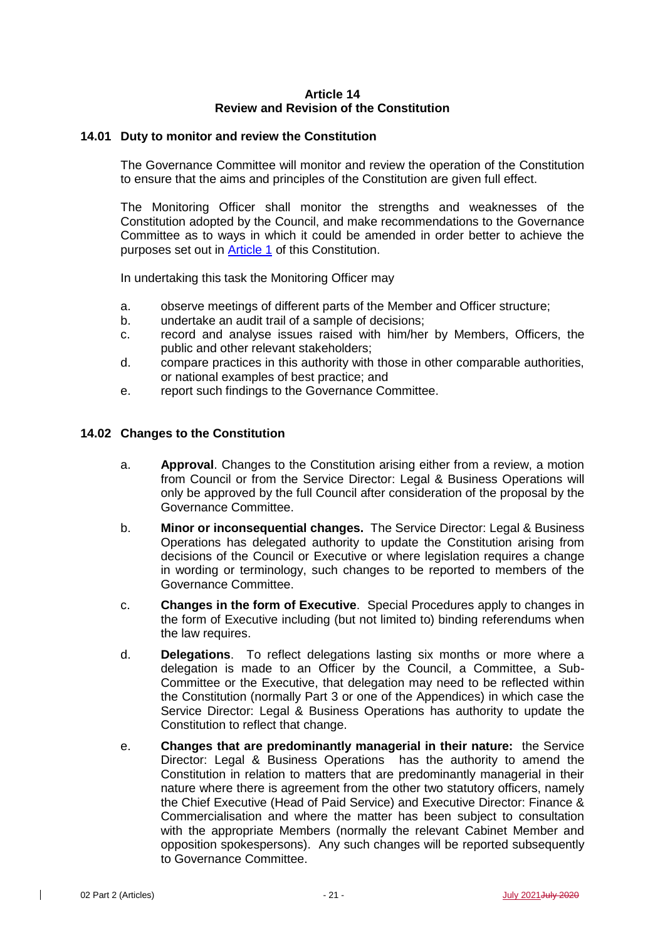# **Article 14 Review and Revision of the Constitution**

# **14.01 Duty to monitor and review the Constitution**

The Governance Committee will monitor and review the operation of the Constitution to ensure that the aims and principles of the Constitution are given full effect.

The Monitoring Officer shall monitor the strengths and weaknesses of the Constitution adopted by the Council, and make recommendations to the Governance Committee as to ways in which it could be amended in order better to achieve the purposes set out in **Article 1** of this Constitution.

In undertaking this task the Monitoring Officer may

- a. observe meetings of different parts of the Member and Officer structure;
- b. undertake an audit trail of a sample of decisions;
- c. record and analyse issues raised with him/her by Members, Officers, the public and other relevant stakeholders;
- d. compare practices in this authority with those in other comparable authorities, or national examples of best practice; and
- e. report such findings to the Governance Committee.

# **14.02 Changes to the Constitution**

- a. **Approval**. Changes to the Constitution arising either from a review, a motion from Council or from the Service Director: Legal & Business Operations will only be approved by the full Council after consideration of the proposal by the Governance Committee.
- b. **Minor or inconsequential changes.** The Service Director: Legal & Business Operations has delegated authority to update the Constitution arising from decisions of the Council or Executive or where legislation requires a change in wording or terminology, such changes to be reported to members of the Governance Committee.
- c. **Changes in the form of Executive**. Special Procedures apply to changes in the form of Executive including (but not limited to) binding referendums when the law requires.
- d. **Delegations**. To reflect delegations lasting six months or more where a delegation is made to an Officer by the Council, a Committee, a Sub-Committee or the Executive, that delegation may need to be reflected within the Constitution (normally Part 3 or one of the Appendices) in which case the Service Director: Legal & Business Operations has authority to update the Constitution to reflect that change.
- e. **Changes that are predominantly managerial in their nature:** the Service Director: Legal & Business Operations has the authority to amend the Constitution in relation to matters that are predominantly managerial in their nature where there is agreement from the other two statutory officers, namely the Chief Executive (Head of Paid Service) and Executive Director: Finance & Commercialisation and where the matter has been subject to consultation with the appropriate Members (normally the relevant Cabinet Member and opposition spokespersons). Any such changes will be reported subsequently to Governance Committee.